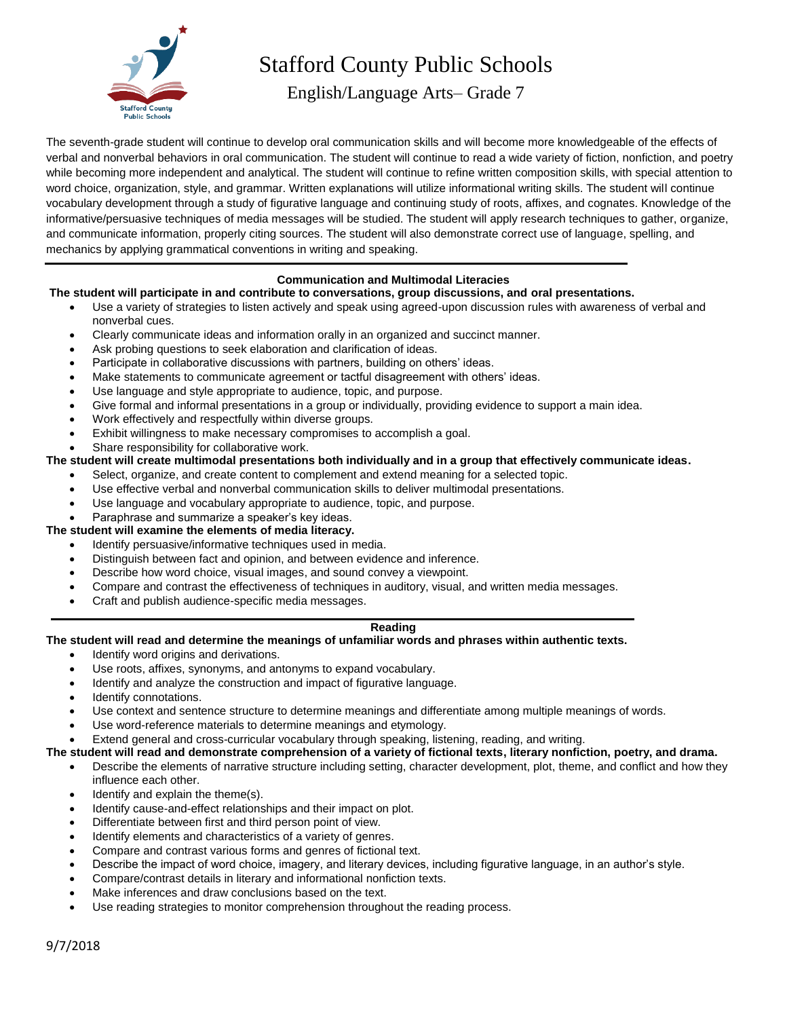

# Stafford County Public Schools

English/Language Arts– Grade 7

The seventh-grade student will continue to develop oral communication skills and will become more knowledgeable of the effects of verbal and nonverbal behaviors in oral communication. The student will continue to read a wide variety of fiction, nonfiction, and poetry while becoming more independent and analytical. The student will continue to refine written composition skills, with special attention to word choice, organization, style, and grammar. Written explanations will utilize informational writing skills. The student will continue vocabulary development through a study of figurative language and continuing study of roots, affixes, and cognates. Knowledge of the informative/persuasive techniques of media messages will be studied. The student will apply research techniques to gather, organize, and communicate information, properly citing sources. The student will also demonstrate correct use of language, spelling, and mechanics by applying grammatical conventions in writing and speaking.

# **Communication and Multimodal Literacies**

## **The student will participate in and contribute to conversations, group discussions, and oral presentations.**

- Use a variety of strategies to listen actively and speak using agreed-upon discussion rules with awareness of verbal and nonverbal cues.
- Clearly communicate ideas and information orally in an organized and succinct manner.
- Ask probing questions to seek elaboration and clarification of ideas.
- Participate in collaborative discussions with partners, building on others' ideas.
- Make statements to communicate agreement or tactful disagreement with others' ideas.
- Use language and style appropriate to audience, topic, and purpose.
- Give formal and informal presentations in a group or individually, providing evidence to support a main idea.
- Work effectively and respectfully within diverse groups.
- Exhibit willingness to make necessary compromises to accomplish a goal.
- Share responsibility for collaborative work.

# **The student will create multimodal presentations both individually and in a group that effectively communicate ideas.**

- Select, organize, and create content to complement and extend meaning for a selected topic.
- Use effective verbal and nonverbal communication skills to deliver multimodal presentations.
- Use language and vocabulary appropriate to audience, topic, and purpose.
- Paraphrase and summarize a speaker's key ideas.
- **The student will examine the elements of media literacy.**
	- Identify persuasive/informative techniques used in media.
	- Distinguish between fact and opinion, and between evidence and inference.
	- Describe how word choice, visual images, and sound convey a viewpoint.
	- Compare and contrast the effectiveness of techniques in auditory, visual, and written media messages.
	- Craft and publish audience-specific media messages.

#### **Reading**

#### **The student will read and determine the meanings of unfamiliar words and phrases within authentic texts.**

- Identify word origins and derivations.
- Use roots, affixes, synonyms, and antonyms to expand vocabulary.
- Identify and analyze the construction and impact of figurative language.
- Identify connotations.
- Use context and sentence structure to determine meanings and differentiate among multiple meanings of words.
- Use word-reference materials to determine meanings and etymology.
- Extend general and cross-curricular vocabulary through speaking, listening, reading, and writing.

#### **The student will read and demonstrate comprehension of a variety of fictional texts, literary nonfiction, poetry, and drama.**

- Describe the elements of narrative structure including setting, character development, plot, theme, and conflict and how they influence each other.
- Identify and explain the theme(s).
- Identify cause-and-effect relationships and their impact on plot.
- Differentiate between first and third person point of view.
- Identify elements and characteristics of a variety of genres.
- Compare and contrast various forms and genres of fictional text.
- Describe the impact of word choice, imagery, and literary devices, including figurative language, in an author's style.
- Compare/contrast details in literary and informational nonfiction texts.
- Make inferences and draw conclusions based on the text.
- Use reading strategies to monitor comprehension throughout the reading process.